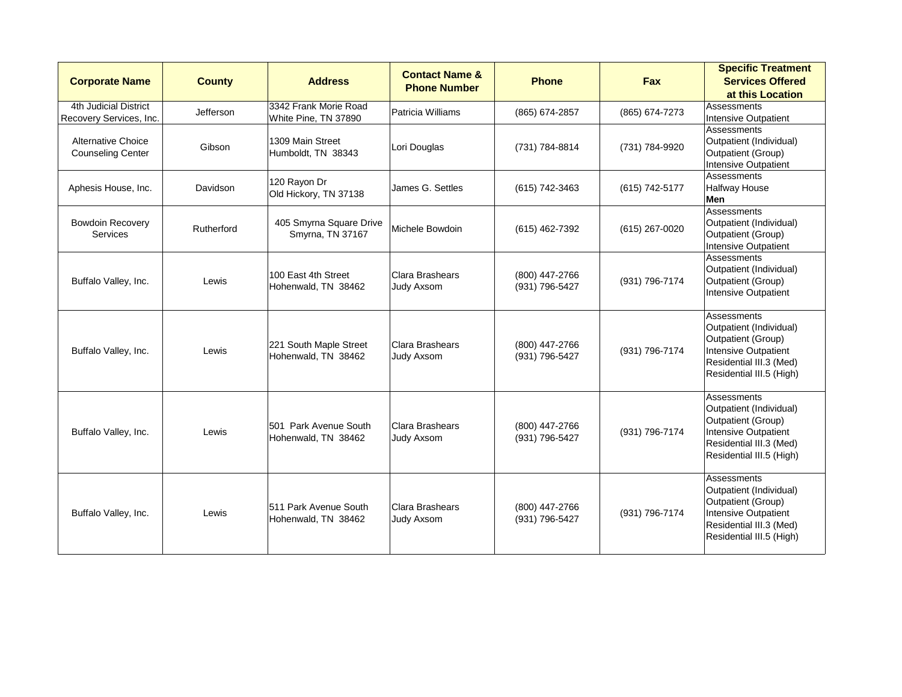| <b>Corporate Name</b>                                 | <b>County</b> | <b>Address</b>                                | <b>Contact Name &amp;</b><br><b>Phone Number</b> | <b>Phone</b>                     | <b>Fax</b>     | <b>Specific Treatment</b><br><b>Services Offered</b><br>at this Location                                                                                  |
|-------------------------------------------------------|---------------|-----------------------------------------------|--------------------------------------------------|----------------------------------|----------------|-----------------------------------------------------------------------------------------------------------------------------------------------------------|
| 4th Judicial District<br>Recovery Services, Inc.      | Jefferson     | 3342 Frank Morie Road<br>White Pine, TN 37890 | Patricia Williams                                | (865) 674-2857                   | (865) 674-7273 | Assessments<br><b>Intensive Outpatient</b>                                                                                                                |
| <b>Alternative Choice</b><br><b>Counseling Center</b> | Gibson        | 1309 Main Street<br>Humboldt, TN 38343        | Lori Douglas                                     | (731) 784-8814                   | (731) 784-9920 | Assessments<br>Outpatient (Individual)<br>Outpatient (Group)<br><b>Intensive Outpatient</b>                                                               |
| Aphesis House, Inc.                                   | Davidson      | 120 Rayon Dr<br>Old Hickory, TN 37138         | James G. Settles                                 | (615) 742-3463                   | (615) 742-5177 | Assessments<br><b>Halfway House</b><br>Men                                                                                                                |
| <b>Bowdoin Recovery</b><br>Services                   | Rutherford    | 405 Smyrna Square Drive<br>Smyrna, TN 37167   | Michele Bowdoin                                  | (615) 462-7392                   | (615) 267-0020 | Assessments<br>Outpatient (Individual)<br>Outpatient (Group)<br><b>Intensive Outpatient</b>                                                               |
| Buffalo Valley, Inc.                                  | Lewis         | 100 East 4th Street<br>Hohenwald, TN 38462    | Clara Brashears<br>Judy Axsom                    | (800) 447-2766<br>(931) 796-5427 | (931) 796-7174 | Assessments<br>Outpatient (Individual)<br><b>Outpatient (Group)</b><br>Intensive Outpatient                                                               |
| Buffalo Valley, Inc.                                  | Lewis         | 221 South Maple Street<br>Hohenwald, TN 38462 | Clara Brashears<br><b>Judy Axsom</b>             | (800) 447-2766<br>(931) 796-5427 | (931) 796-7174 | Assessments<br>Outpatient (Individual)<br>Outpatient (Group)<br><b>Intensive Outpatient</b><br>Residential III.3 (Med)<br>Residential III.5 (High)        |
| Buffalo Valley, Inc.                                  | Lewis         | 501 Park Avenue South<br>Hohenwald, TN 38462  | Clara Brashears<br>Judy Axsom                    | (800) 447-2766<br>(931) 796-5427 | (931) 796-7174 | Assessments<br>Outpatient (Individual)<br>Outpatient (Group)<br><b>Intensive Outpatient</b><br>Residential III.3 (Med)<br>Residential III.5 (High)        |
| Buffalo Valley, Inc.                                  | Lewis         | 511 Park Avenue South<br>Hohenwald, TN 38462  | Clara Brashears<br>Judy Axsom                    | (800) 447-2766<br>(931) 796-5427 | (931) 796-7174 | Assessments<br>Outpatient (Individual)<br><b>Outpatient (Group)</b><br><b>Intensive Outpatient</b><br>Residential III.3 (Med)<br>Residential III.5 (High) |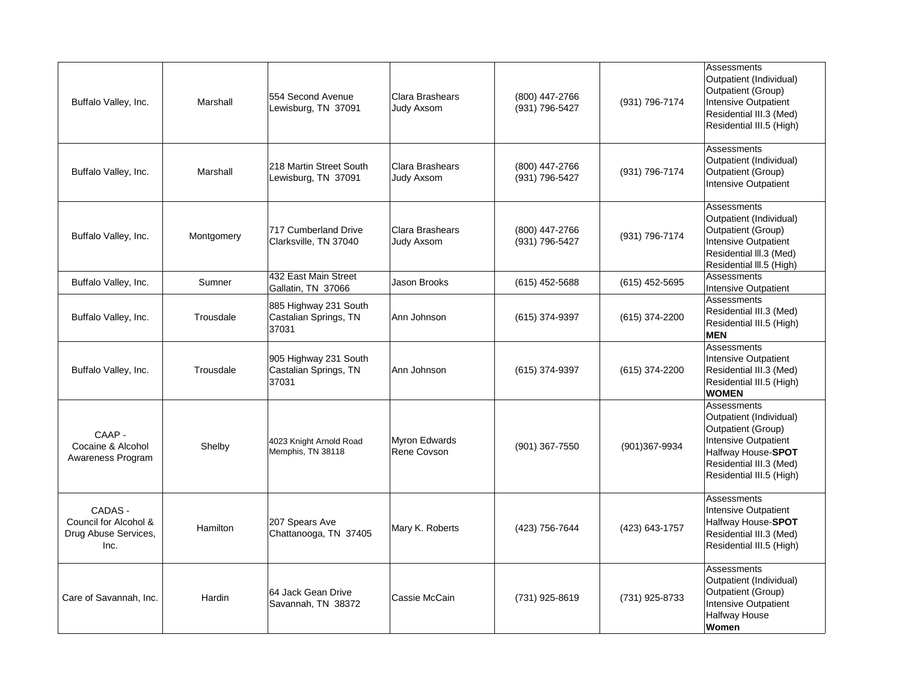| Marshall   | 554 Second Avenue<br>Lewisburg, TN 37091                | Clara Brashears<br><b>Judy Axsom</b> | (800) 447-2766<br>(931) 796-5427 | (931) 796-7174   | Assessments<br>Outpatient (Individual)<br>Outpatient (Group)<br>Intensive Outpatient<br>Residential III.3 (Med)<br>Residential III.5 (High)                       |
|------------|---------------------------------------------------------|--------------------------------------|----------------------------------|------------------|-------------------------------------------------------------------------------------------------------------------------------------------------------------------|
| Marshall   | 218 Martin Street South<br>Lewisburg, TN 37091          | Clara Brashears<br><b>Judy Axsom</b> | (800) 447-2766<br>(931) 796-5427 | (931) 796-7174   | Assessments<br>Outpatient (Individual)<br>Outpatient (Group)<br>Intensive Outpatient                                                                              |
| Montgomery | 717 Cumberland Drive<br>Clarksville, TN 37040           | Clara Brashears<br>Judy Axsom        | (800) 447-2766<br>(931) 796-5427 | (931) 796-7174   | Assessments<br>Outpatient (Individual)<br>Outpatient (Group)<br>Intensive Outpatient<br>Residential III.3 (Med)<br>Residential III.5 (High)                       |
| Sumner     | 432 East Main Street<br>Gallatin, TN 37066              | Jason Brooks                         | $(615)$ 452-5688                 | $(615)$ 452-5695 | Assessments<br>Intensive Outpatient                                                                                                                               |
| Trousdale  | 885 Highway 231 South<br>Castalian Springs, TN<br>37031 | Ann Johnson                          | (615) 374-9397                   | (615) 374-2200   | Assessments<br>Residential III.3 (Med)<br>Residential III.5 (High)<br><b>MEN</b>                                                                                  |
| Trousdale  | 905 Highway 231 South<br>Castalian Springs, TN<br>37031 | Ann Johnson                          | (615) 374-9397                   | (615) 374-2200   | Assessments<br>Intensive Outpatient<br>Residential III.3 (Med)<br>Residential III.5 (High)<br><b>WOMEN</b>                                                        |
| Shelby     | 4023 Knight Arnold Road<br>Memphis, TN 38118            | <b>Myron Edwards</b><br>Rene Covson  | (901) 367-7550                   | (901)367-9934    | Assessments<br>Outpatient (Individual)<br>Outpatient (Group)<br>Intensive Outpatient<br>Halfway House-SPOT<br>Residential III.3 (Med)<br>Residential III.5 (High) |
| Hamilton   | 207 Spears Ave<br>Chattanooga, TN 37405                 | Mary K. Roberts                      | (423) 756-7644                   | (423) 643-1757   | Assessments<br>Intensive Outpatient<br>Halfway House-SPOT<br>Residential III.3 (Med)<br>Residential III.5 (High)                                                  |
| Hardin     | 64 Jack Gean Drive<br>Savannah, TN 38372                | Cassie McCain                        | (731) 925-8619                   | (731) 925-8733   | Assessments<br>Outpatient (Individual)<br>Outpatient (Group)<br>Intensive Outpatient<br>Halfway House<br>Women                                                    |
|            |                                                         |                                      |                                  |                  |                                                                                                                                                                   |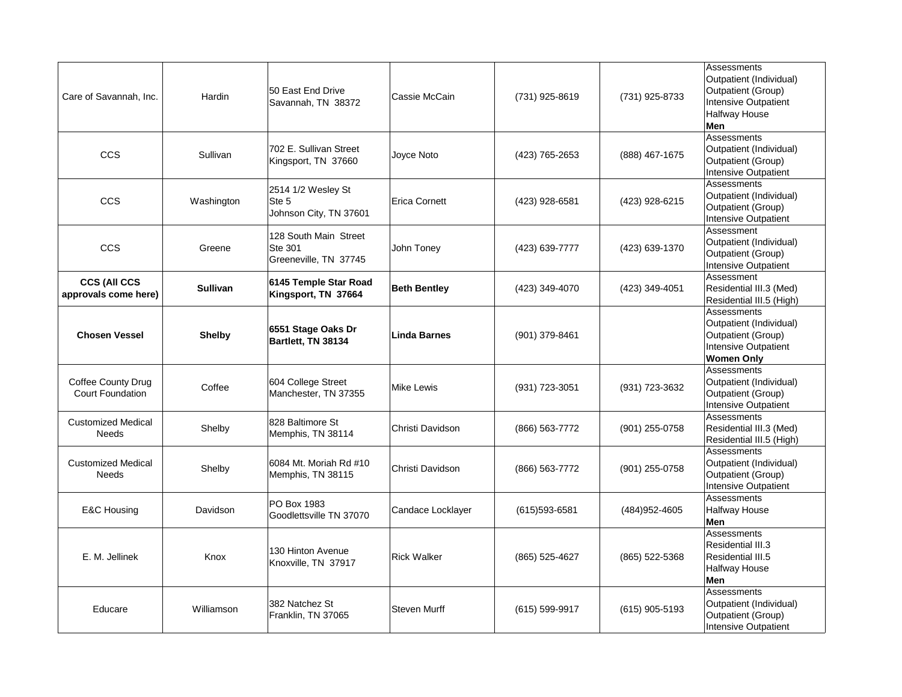| Care of Savannah, Inc.                               | Hardin          | 50 East End Drive<br>Savannah, TN 38372                          | Cassie McCain        | (731) 925-8619    | (731) 925-8733   | Assessments<br>Outpatient (Individual)<br>Outpatient (Group)<br><b>Intensive Outpatient</b><br>Halfway House<br><b>Men</b> |
|------------------------------------------------------|-----------------|------------------------------------------------------------------|----------------------|-------------------|------------------|----------------------------------------------------------------------------------------------------------------------------|
| <b>CCS</b>                                           | Sullivan        | 702 E. Sullivan Street<br>Kingsport, TN 37660                    | Joyce Noto           | (423) 765-2653    | (888) 467-1675   | Assessments<br>Outpatient (Individual)<br>Outpatient (Group)<br><b>Intensive Outpatient</b>                                |
| <b>CCS</b>                                           | Washington      | 2514 1/2 Wesley St<br>Ste 5<br>Johnson City, TN 37601            | <b>Erica Cornett</b> | (423) 928-6581    | (423) 928-6215   | Assessments<br>Outpatient (Individual)<br>Outpatient (Group)<br><b>Intensive Outpatient</b>                                |
| <b>CCS</b>                                           | Greene          | 128 South Main Street<br><b>Ste 301</b><br>Greeneville, TN 37745 | John Toney           | (423) 639-7777    | (423) 639-1370   | Assessment<br>Outpatient (Individual)<br>Outpatient (Group)<br><b>Intensive Outpatient</b>                                 |
| <b>CCS (All CCS</b><br>approvals come here)          | <b>Sullivan</b> | 6145 Temple Star Road<br>Kingsport, TN 37664                     | <b>Beth Bentley</b>  | (423) 349-4070    | (423) 349-4051   | Assessment<br>Residential III.3 (Med)<br>Residential III.5 (High)                                                          |
| <b>Chosen Vessel</b>                                 | <b>Shelby</b>   | 6551 Stage Oaks Dr<br>Bartlett, TN 38134                         | <b>Linda Barnes</b>  | (901) 379-8461    |                  | Assessments<br>Outpatient (Individual)<br>Outpatient (Group)<br><b>Intensive Outpatient</b><br><b>Women Only</b>           |
| <b>Coffee County Drug</b><br><b>Court Foundation</b> | Coffee          | 604 College Street<br>Manchester, TN 37355                       | Mike Lewis           | (931) 723-3051    | (931) 723-3632   | Assessments<br>Outpatient (Individual)<br>Outpatient (Group)<br>Intensive Outpatient                                       |
| <b>Customized Medical</b><br><b>Needs</b>            | Shelby          | 828 Baltimore St<br>Memphis, TN 38114                            | Christi Davidson     | (866) 563-7772    | (901) 255-0758   | Assessments<br>Residential III.3 (Med)<br>Residential III.5 (High)                                                         |
| <b>Customized Medical</b><br><b>Needs</b>            | Shelby          | 6084 Mt. Moriah Rd #10<br>Memphis, TN 38115                      | Christi Davidson     | (866) 563-7772    | (901) 255-0758   | Assessments<br>Outpatient (Individual)<br>Outpatient (Group)<br>Intensive Outpatient                                       |
| <b>E&amp;C Housing</b>                               | Davidson        | PO Box 1983<br>Goodlettsville TN 37070                           | Candace Locklayer    | $(615)593 - 6581$ | (484) 952-4605   | Assessments<br><b>Halfway House</b><br>Men                                                                                 |
| E. M. Jellinek                                       | Knox            | 130 Hinton Avenue<br>Knoxville, TN 37917                         | <b>Rick Walker</b>   | (865) 525-4627    | (865) 522-5368   | Assessments<br>Residential III.3<br>Residential III.5<br>Halfway House<br>Men                                              |
| Educare                                              | Williamson      | 382 Natchez St<br>Franklin, TN 37065                             | <b>Steven Murff</b>  | (615) 599-9917    | $(615)$ 905-5193 | Assessments<br>Outpatient (Individual)<br>Outpatient (Group)<br><b>Intensive Outpatient</b>                                |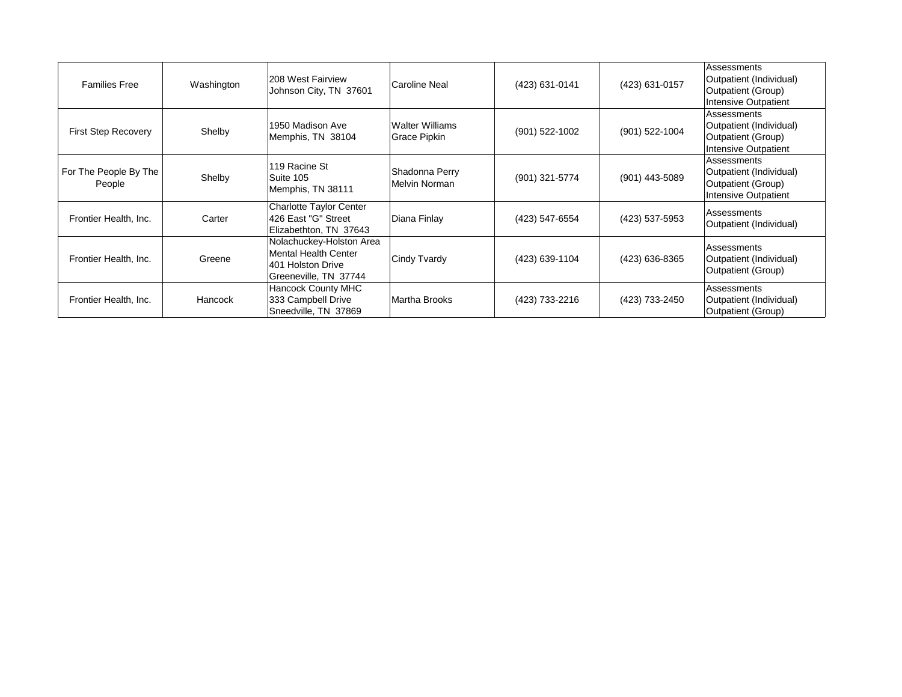| <b>Families Free</b>            | Washington | 208 West Fairview<br>Johnson City, TN 37601                                                           | Caroline Neal                          | (423) 631-0141 | (423) 631-0157 | Assessments<br>Outpatient (Individual)<br>Outpatient (Group)<br>Intensive Outpatient        |
|---------------------------------|------------|-------------------------------------------------------------------------------------------------------|----------------------------------------|----------------|----------------|---------------------------------------------------------------------------------------------|
| <b>First Step Recovery</b>      | Shelby     | 1950 Madison Ave<br>Memphis, TN 38104                                                                 | Walter Williams<br><b>Grace Pipkin</b> | (901) 522-1002 | (901) 522-1004 | <b>Assessments</b><br>Outpatient (Individual)<br>Outpatient (Group)<br>Intensive Outpatient |
| For The People By The<br>People | Shelby     | 119 Racine St<br>Suite 105<br>Memphis, TN 38111                                                       | Shadonna Perry<br>Melvin Norman        | (901) 321-5774 | (901) 443-5089 | Assessments<br>Outpatient (Individual)<br>Outpatient (Group)<br>Intensive Outpatient        |
| Frontier Health, Inc.           | Carter     | <b>Charlotte Taylor Center</b><br>426 East "G" Street<br>Elizabethton, TN 37643                       | Diana Finlay                           | (423) 547-6554 | (423) 537-5953 | Assessments<br>Outpatient (Individual)                                                      |
| Frontier Health, Inc.           | Greene     | Nolachuckey-Holston Area<br><b>Mental Health Center</b><br>401 Holston Drive<br>Greeneville, TN 37744 | Cindy Tvardy                           | (423) 639-1104 | (423) 636-8365 | Assessments<br>Outpatient (Individual)<br>Outpatient (Group)                                |
| Frontier Health, Inc.           | Hancock    | <b>Hancock County MHC</b><br>333 Campbell Drive<br>Sneedville, TN 37869                               | Martha Brooks                          | (423) 733-2216 | (423) 733-2450 | <b>Assessments</b><br>Outpatient (Individual)<br>Outpatient (Group)                         |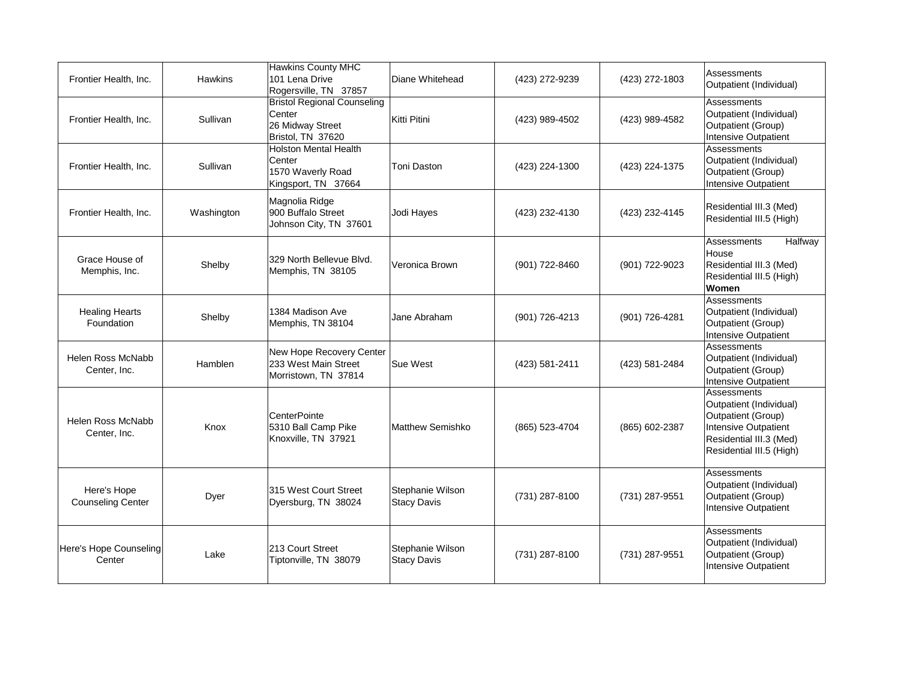| Frontier Health, Inc.                   | <b>Hawkins</b> | <b>Hawkins County MHC</b><br>101 Lena Drive<br>Rogersville, TN 37857                  | Diane Whitehead                        | (423) 272-9239 | (423) 272-1803 | Assessments<br>Outpatient (Individual)                                                                                                      |
|-----------------------------------------|----------------|---------------------------------------------------------------------------------------|----------------------------------------|----------------|----------------|---------------------------------------------------------------------------------------------------------------------------------------------|
| Frontier Health, Inc.                   | Sullivan       | <b>Bristol Regional Counseling</b><br>Center<br>26 Midway Street<br>Bristol, TN 37620 | Kitti Pitini                           | (423) 989-4502 | (423) 989-4582 | Assessments<br>Outpatient (Individual)<br>Outpatient (Group)<br><b>Intensive Outpatient</b>                                                 |
| Frontier Health, Inc.                   | Sullivan       | <b>Holston Mental Health</b><br>Center<br>1570 Waverly Road<br>Kingsport, TN 37664    | <b>Toni Daston</b>                     | (423) 224-1300 | (423) 224-1375 | Assessments<br>Outpatient (Individual)<br>Outpatient (Group)<br><b>Intensive Outpatient</b>                                                 |
| Frontier Health, Inc.                   | Washington     | Magnolia Ridge<br>900 Buffalo Street<br>Johnson City, TN 37601                        | Jodi Hayes                             | (423) 232-4130 | (423) 232-4145 | Residential III.3 (Med)<br>Residential III.5 (High)                                                                                         |
| Grace House of<br>Memphis, Inc.         | Shelby         | 329 North Bellevue Blvd.<br>Memphis, TN 38105                                         | Veronica Brown                         | (901) 722-8460 | (901) 722-9023 | Halfway<br>Assessments<br>House<br>Residential III.3 (Med)<br>Residential III.5 (High)<br>Women                                             |
| <b>Healing Hearts</b><br>Foundation     | Shelby         | 1384 Madison Ave<br>Memphis, TN 38104                                                 | Jane Abraham                           | (901) 726-4213 | (901) 726-4281 | Assessments<br>Outpatient (Individual)<br>Outpatient (Group)<br><b>Intensive Outpatient</b>                                                 |
| Helen Ross McNabb<br>Center, Inc.       | Hamblen        | New Hope Recovery Center<br>233 West Main Street<br>Morristown, TN 37814              | Sue West                               | (423) 581-2411 | (423) 581-2484 | Assessments<br>Outpatient (Individual)<br>Outpatient (Group)<br><b>Intensive Outpatient</b>                                                 |
| Helen Ross McNabb<br>Center, Inc.       | Knox           | <b>CenterPointe</b><br>5310 Ball Camp Pike<br>Knoxville, TN 37921                     | <b>Matthew Semishko</b>                | (865) 523-4704 | (865) 602-2387 | Assessments<br>Outpatient (Individual)<br>Outpatient (Group)<br>Intensive Outpatient<br>Residential III.3 (Med)<br>Residential III.5 (High) |
| Here's Hope<br><b>Counseling Center</b> | Dyer           | 315 West Court Street<br>Dyersburg, TN 38024                                          | Stephanie Wilson<br><b>Stacy Davis</b> | (731) 287-8100 | (731) 287-9551 | <b>Assessments</b><br>Outpatient (Individual)<br>Outpatient (Group)<br>Intensive Outpatient                                                 |
| Here's Hope Counseling<br>Center        | Lake           | 213 Court Street<br>Tiptonville, TN 38079                                             | Stephanie Wilson<br><b>Stacy Davis</b> | (731) 287-8100 | (731) 287-9551 | Assessments<br>Outpatient (Individual)<br>Outpatient (Group)<br>Intensive Outpatient                                                        |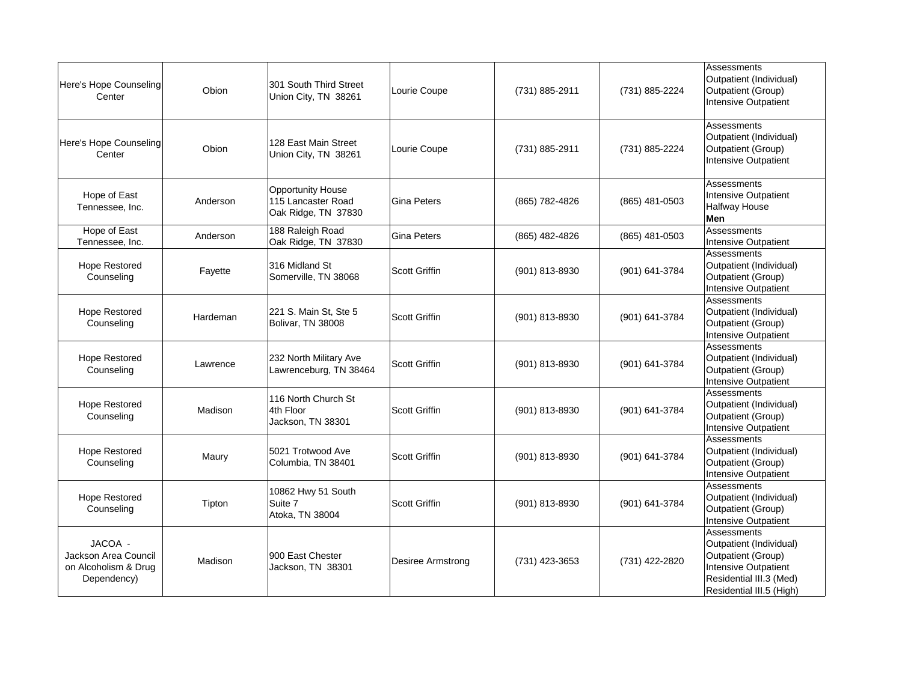| Here's Hope Counseling<br>Center                                       | Obion    | 301 South Third Street<br>Union City, TN 38261                        | Lourie Coupe      | (731) 885-2911   | (731) 885-2224   | Assessments<br>Outpatient (Individual)<br>Outpatient (Group)<br><b>Intensive Outpatient</b>                                                 |
|------------------------------------------------------------------------|----------|-----------------------------------------------------------------------|-------------------|------------------|------------------|---------------------------------------------------------------------------------------------------------------------------------------------|
| Here's Hope Counseling<br>Center                                       | Obion    | 128 East Main Street<br>Union City, TN 38261                          | Lourie Coupe      | (731) 885-2911   | (731) 885-2224   | Assessments<br>Outpatient (Individual)<br>Outpatient (Group)<br>Intensive Outpatient                                                        |
| Hope of East<br>Tennessee, Inc.                                        | Anderson | <b>Opportunity House</b><br>115 Lancaster Road<br>Oak Ridge, TN 37830 | Gina Peters       | (865) 782-4826   | $(865)$ 481-0503 | Assessments<br>Intensive Outpatient<br><b>Halfway House</b><br>Men                                                                          |
| Hope of East<br>Tennessee, Inc.                                        | Anderson | 188 Raleigh Road<br>Oak Ridge, TN 37830                               | Gina Peters       | (865) 482-4826   | (865) 481-0503   | Assessments<br>Intensive Outpatient                                                                                                         |
| <b>Hope Restored</b><br>Counseling                                     | Fayette  | 316 Midland St<br>Somerville, TN 38068                                | Scott Griffin     | $(901)$ 813-8930 | (901) 641-3784   | Assessments<br>Outpatient (Individual)<br>Outpatient (Group)<br><b>Intensive Outpatient</b>                                                 |
| <b>Hope Restored</b><br>Counseling                                     | Hardeman | 221 S. Main St, Ste 5<br>Bolivar, TN 38008                            | Scott Griffin     | (901) 813-8930   | (901) 641-3784   | Assessments<br>Outpatient (Individual)<br>Outpatient (Group)<br>Intensive Outpatient                                                        |
| <b>Hope Restored</b><br>Counseling                                     | Lawrence | 232 North Military Ave<br>Lawrenceburg, TN 38464                      | Scott Griffin     | (901) 813-8930   | (901) 641-3784   | Assessments<br>Outpatient (Individual)<br>Outpatient (Group)<br>Intensive Outpatient                                                        |
| <b>Hope Restored</b><br>Counseling                                     | Madison  | 116 North Church St<br>4th Floor<br>Jackson, TN 38301                 | Scott Griffin     | (901) 813-8930   | (901) 641-3784   | Assessments<br>Outpatient (Individual)<br>Outpatient (Group)<br>Intensive Outpatient                                                        |
| <b>Hope Restored</b><br>Counseling                                     | Maury    | 5021 Trotwood Ave<br>Columbia, TN 38401                               | Scott Griffin     | (901) 813-8930   | (901) 641-3784   | Assessments<br>Outpatient (Individual)<br>Outpatient (Group)<br><b>Intensive Outpatient</b>                                                 |
| <b>Hope Restored</b><br>Counseling                                     | Tipton   | 10862 Hwy 51 South<br>Suite 7<br>Atoka, TN 38004                      | Scott Griffin     | $(901)$ 813-8930 | (901) 641-3784   | <b>Assessments</b><br>Outpatient (Individual)<br>Outpatient (Group)<br>Intensive Outpatient                                                 |
| JACOA -<br>Jackson Area Council<br>on Alcoholism & Drug<br>Dependency) | Madison  | 900 East Chester<br>Jackson, TN 38301                                 | Desiree Armstrong | (731) 423-3653   | (731) 422-2820   | Assessments<br>Outpatient (Individual)<br>Outpatient (Group)<br>Intensive Outpatient<br>Residential III.3 (Med)<br>Residential III.5 (High) |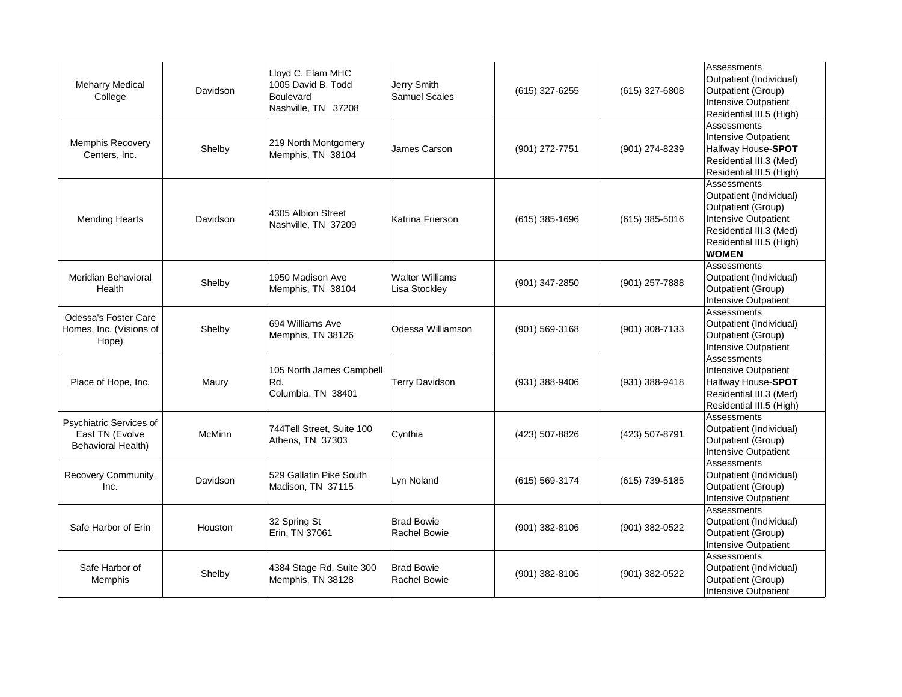| <b>Meharry Medical</b><br>College                                       | Davidson      | Lloyd C. Elam MHC<br>1005 David B. Todd<br><b>Boulevard</b><br>Nashville, TN 37208 | Jerry Smith<br><b>Samuel Scales</b>     | (615) 327-6255   | $(615)$ 327-6808 | Assessments<br>Outpatient (Individual)<br>Outpatient (Group)<br>Intensive Outpatient<br>Residential III.5 (High)                                            |
|-------------------------------------------------------------------------|---------------|------------------------------------------------------------------------------------|-----------------------------------------|------------------|------------------|-------------------------------------------------------------------------------------------------------------------------------------------------------------|
| Memphis Recovery<br>Centers, Inc.                                       | Shelby        | 219 North Montgomery<br>Memphis, TN 38104                                          | James Carson                            | (901) 272-7751   | (901) 274-8239   | Assessments<br>Intensive Outpatient<br>Halfway House-SPOT<br>Residential III.3 (Med)<br>Residential III.5 (High)                                            |
| <b>Mending Hearts</b>                                                   | Davidson      | 4305 Albion Street<br>Nashville, TN 37209                                          | Katrina Frierson                        | $(615)$ 385-1696 | $(615)$ 385-5016 | Assessments<br>Outpatient (Individual)<br>Outpatient (Group)<br>Intensive Outpatient<br>Residential III.3 (Med)<br>Residential III.5 (High)<br><b>WOMEN</b> |
| Meridian Behavioral<br>Health                                           | Shelby        | 1950 Madison Ave<br>Memphis, TN 38104                                              | <b>Walter Williams</b><br>Lisa Stockley | $(901)$ 347-2850 | (901) 257-7888   | Assessments<br>Outpatient (Individual)<br>Outpatient (Group)<br>Intensive Outpatient                                                                        |
| <b>Odessa's Foster Care</b><br>Homes, Inc. (Visions of<br>Hope)         | Shelby        | 694 Williams Ave<br>Memphis, TN 38126                                              | Odessa Williamson                       | (901) 569-3168   | (901) 308-7133   | Assessments<br>Outpatient (Individual)<br>Outpatient (Group)<br>Intensive Outpatient                                                                        |
| Place of Hope, Inc.                                                     | Maury         | 105 North James Campbell<br>Rd.<br>Columbia, TN 38401                              | <b>Terry Davidson</b>                   | (931) 388-9406   | (931) 388-9418   | Assessments<br>Intensive Outpatient<br>Halfway House-SPOT<br>Residential III.3 (Med)<br>Residential III.5 (High)                                            |
| Psychiatric Services of<br>East TN (Evolve<br><b>Behavioral Health)</b> | <b>McMinn</b> | 744Tell Street, Suite 100<br>Athens, TN 37303                                      | Cynthia                                 | (423) 507-8826   | (423) 507-8791   | Assessments<br>Outpatient (Individual)<br>Outpatient (Group)<br>Intensive Outpatient                                                                        |
| Recovery Community,<br>Inc.                                             | Davidson      | 529 Gallatin Pike South<br>Madison, TN 37115                                       | Lyn Noland                              | (615) 569-3174   | (615) 739-5185   | Assessments<br>Outpatient (Individual)<br>Outpatient (Group)<br>Intensive Outpatient                                                                        |
| Safe Harbor of Erin                                                     | Houston       | 32 Spring St<br>Erin, TN 37061                                                     | <b>Brad Bowie</b><br>Rachel Bowie       | $(901)$ 382-8106 | (901) 382-0522   | Assessments<br>Outpatient (Individual)<br>Outpatient (Group)<br>Intensive Outpatient                                                                        |
| Safe Harbor of<br>Memphis                                               | Shelby        | 4384 Stage Rd, Suite 300<br>Memphis, TN 38128                                      | <b>Brad Bowie</b><br>Rachel Bowie       | $(901)$ 382-8106 | (901) 382-0522   | Assessments<br>Outpatient (Individual)<br>Outpatient (Group)<br>Intensive Outpatient                                                                        |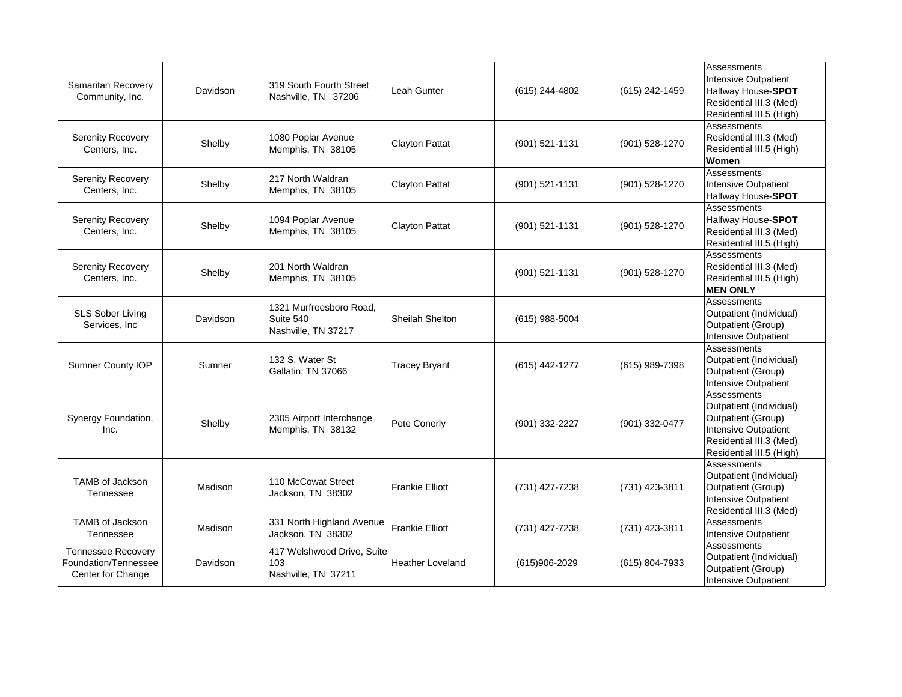| <b>Samaritan Recovery</b><br>Community, Inc.                           | Davidson | 319 South Fourth Street<br>Nashville, TN 37206              | Leah Gunter             | (615) 244-4802     | (615) 242-1459 | Assessments<br><b>Intensive Outpatient</b><br>Halfway House-SPOT<br>Residential III.3 (Med)<br>Residential III.5 (High)                     |
|------------------------------------------------------------------------|----------|-------------------------------------------------------------|-------------------------|--------------------|----------------|---------------------------------------------------------------------------------------------------------------------------------------------|
| <b>Serenity Recovery</b><br>Centers, Inc.                              | Shelby   | 1080 Poplar Avenue<br>Memphis, TN 38105                     | Clayton Pattat          | $(901) 521 - 1131$ | (901) 528-1270 | Assessments<br>Residential III.3 (Med)<br>Residential III.5 (High)<br>Women                                                                 |
| <b>Serenity Recovery</b><br>Centers, Inc.                              | Shelby   | 217 North Waldran<br>Memphis, TN 38105                      | <b>Clayton Pattat</b>   | $(901) 521 - 1131$ | (901) 528-1270 | Assessments<br>Intensive Outpatient<br>Halfway House-SPOT                                                                                   |
| <b>Serenity Recovery</b><br>Centers, Inc.                              | Shelby   | 1094 Poplar Avenue<br>Memphis, TN 38105                     | <b>Clayton Pattat</b>   | $(901) 521 - 1131$ | (901) 528-1270 | Assessments<br>Halfway House-SPOT<br>Residential III.3 (Med)<br>Residential III.5 (High)                                                    |
| <b>Serenity Recovery</b><br>Centers, Inc.                              | Shelby   | 201 North Waldran<br>Memphis, TN 38105                      |                         | $(901) 521 - 1131$ | (901) 528-1270 | Assessments<br>Residential III.3 (Med)<br>Residential III.5 (High)<br><b>MEN ONLY</b>                                                       |
| <b>SLS Sober Living</b><br>Services, Inc                               | Davidson | 1321 Murfreesboro Road,<br>Suite 540<br>Nashville, TN 37217 | <b>Sheilah Shelton</b>  | $(615)$ 988-5004   |                | Assessments<br>Outpatient (Individual)<br>Outpatient (Group)<br><b>Intensive Outpatient</b>                                                 |
| <b>Sumner County IOP</b>                                               | Sumner   | 132 S. Water St<br>Gallatin, TN 37066                       | <b>Tracey Bryant</b>    | (615) 442-1277     | (615) 989-7398 | Assessments<br>Outpatient (Individual)<br>Outpatient (Group)<br><b>Intensive Outpatient</b>                                                 |
| Synergy Foundation,<br>Inc.                                            | Shelby   | 2305 Airport Interchange<br>Memphis, TN 38132               | Pete Conerly            | (901) 332-2227     | (901) 332-0477 | Assessments<br>Outpatient (Individual)<br>Outpatient (Group)<br>Intensive Outpatient<br>Residential III.3 (Med)<br>Residential III.5 (High) |
| <b>TAMB of Jackson</b><br>Tennessee                                    | Madison  | 110 McCowat Street<br>Jackson, TN 38302                     | <b>Frankie Elliott</b>  | (731) 427-7238     | (731) 423-3811 | Assessments<br>Outpatient (Individual)<br><b>Outpatient (Group)</b><br>Intensive Outpatient<br>Residential III.3 (Med)                      |
| TAMB of Jackson<br>Tennessee                                           | Madison  | 331 North Highland Avenue<br>Jackson, TN 38302              | <b>Frankie Elliott</b>  | (731) 427-7238     | (731) 423-3811 | Assessments<br><b>Intensive Outpatient</b>                                                                                                  |
| <b>Tennessee Recovery</b><br>Foundation/Tennessee<br>Center for Change | Davidson | 417 Welshwood Drive, Suite<br>103<br>Nashville, TN 37211    | <b>Heather Loveland</b> | $(615)906 - 2029$  | (615) 804-7933 | Assessments<br>Outpatient (Individual)<br>Outpatient (Group)<br>Intensive Outpatient                                                        |